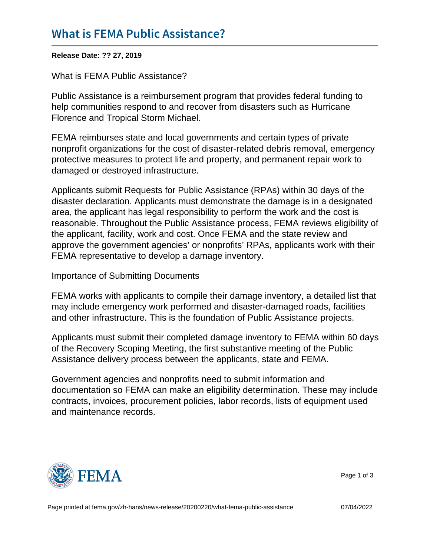Release Date: ?? 27, 2019

What is FEMA Public Assistance?

Public Assistance is a reimbursement program that provides federal funding to help communities respond to and recover from disasters such as Hurricane Florence and Tropical Storm Michael.

FEMA reimburses state and local governments and certain types of private nonprofit organizations for the cost of disaster-related debris removal, emergency protective measures to protect life and property, and permanent repair work to damaged or destroyed infrastructure.

Applicants submit Requests for Public Assistance (RPAs) within 30 days of the disaster declaration. Applicants must demonstrate the damage is in a designated area, the applicant has legal responsibility to perform the work and the cost is reasonable. Throughout the Public Assistance process, FEMA reviews eligibility of the applicant, facility, work and cost. Once FEMA and the state review and approve the government agencies' or nonprofits' RPAs, applicants work with their FEMA representative to develop a damage inventory.

Importance of Submitting Documents

FEMA works with applicants to compile their damage inventory, a detailed list that may include emergency work performed and disaster-damaged roads, facilities and other infrastructure. This is the foundation of Public Assistance projects.

Applicants must submit their completed damage inventory to FEMA within 60 days of the Recovery Scoping Meeting, the first substantive meeting of the Public Assistance delivery process between the applicants, state and FEMA.

Government agencies and nonprofits need to submit information and documentation so FEMA can make an eligibility determination. These may include contracts, invoices, procurement policies, labor records, lists of equipment used and maintenance records.



Page 1 of 3

Page printed at [fema.gov/zh-hans/news-release/20200220/what-fema-public-assistance](https://www.fema.gov/zh-hans/news-release/20200220/what-fema-public-assistance) 07/04/2022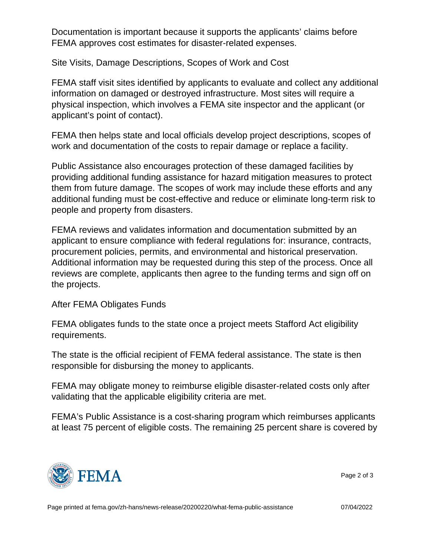Documentation is important because it supports the applicants' claims before FEMA approves cost estimates for disaster-related expenses.

Site Visits, Damage Descriptions, Scopes of Work and Cost

FEMA staff visit sites identified by applicants to evaluate and collect any additional information on damaged or destroyed infrastructure. Most sites will require a physical inspection, which involves a FEMA site inspector and the applicant (or applicant's point of contact).

FEMA then helps state and local officials develop project descriptions, scopes of work and documentation of the costs to repair damage or replace a facility.

Public Assistance also encourages protection of these damaged facilities by providing additional funding assistance for hazard mitigation measures to protect them from future damage. The scopes of work may include these efforts and any additional funding must be cost-effective and reduce or eliminate long-term risk to people and property from disasters.

FEMA reviews and validates information and documentation submitted by an applicant to ensure compliance with federal regulations for: insurance, contracts, procurement policies, permits, and environmental and historical preservation. Additional information may be requested during this step of the process. Once all reviews are complete, applicants then agree to the funding terms and sign off on the projects.

## After FEMA Obligates Funds

FEMA obligates funds to the state once a project meets Stafford Act eligibility requirements.

The state is the official recipient of FEMA federal assistance. The state is then responsible for disbursing the money to applicants.

FEMA may obligate money to reimburse eligible disaster-related costs only after validating that the applicable eligibility criteria are met.

FEMA's Public Assistance is a cost-sharing program which reimburses applicants at least 75 percent of eligible costs. The remaining 25 percent share is covered by



Page 2 of 3